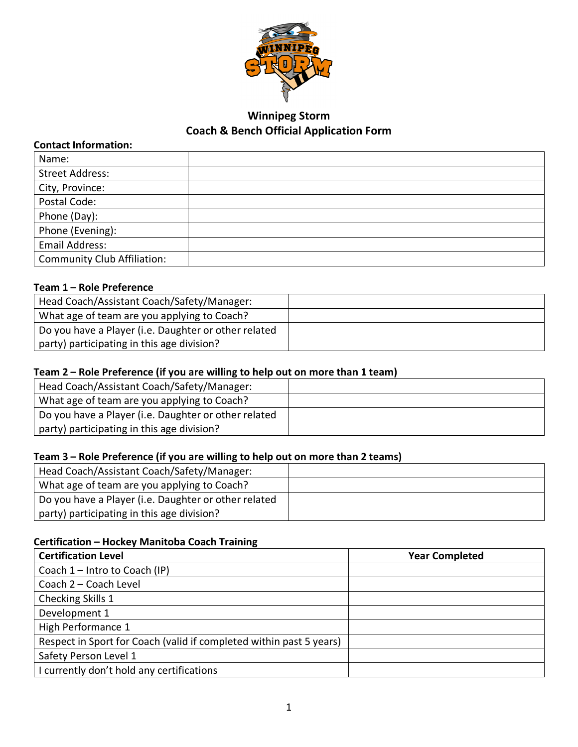

# **Winnipeg Storm Coach & Bench Official Application Form**

### **Contact Information:**

| Name:                              |  |
|------------------------------------|--|
| <b>Street Address:</b>             |  |
| City, Province:                    |  |
| Postal Code:                       |  |
| Phone (Day):                       |  |
| Phone (Evening):                   |  |
| Email Address:                     |  |
| <b>Community Club Affiliation:</b> |  |

### **Team 1 – Role Preference**

| Head Coach/Assistant Coach/Safety/Manager:           |  |
|------------------------------------------------------|--|
| What age of team are you applying to Coach?          |  |
| Do you have a Player (i.e. Daughter or other related |  |
| party) participating in this age division?           |  |

### **Team 2 – Role Preference (if you are willing to help out on more than 1 team)**

| Head Coach/Assistant Coach/Safety/Manager:           |  |
|------------------------------------------------------|--|
| What age of team are you applying to Coach?          |  |
| Do you have a Player (i.e. Daughter or other related |  |
| party) participating in this age division?           |  |

### **Team 3 – Role Preference (if you are willing to help out on more than 2 teams)**

| Head Coach/Assistant Coach/Safety/Manager:           |  |
|------------------------------------------------------|--|
| What age of team are you applying to Coach?          |  |
| Do you have a Player (i.e. Daughter or other related |  |
| party) participating in this age division?           |  |

## **Certification – Hockey Manitoba Coach Training**

| <b>Certification Level</b>                                          | <b>Year Completed</b> |
|---------------------------------------------------------------------|-----------------------|
| Coach 1 - Intro to Coach (IP)                                       |                       |
| Coach 2 - Coach Level                                               |                       |
| Checking Skills 1                                                   |                       |
| Development 1                                                       |                       |
| High Performance 1                                                  |                       |
| Respect in Sport for Coach (valid if completed within past 5 years) |                       |
| Safety Person Level 1                                               |                       |
| I currently don't hold any certifications                           |                       |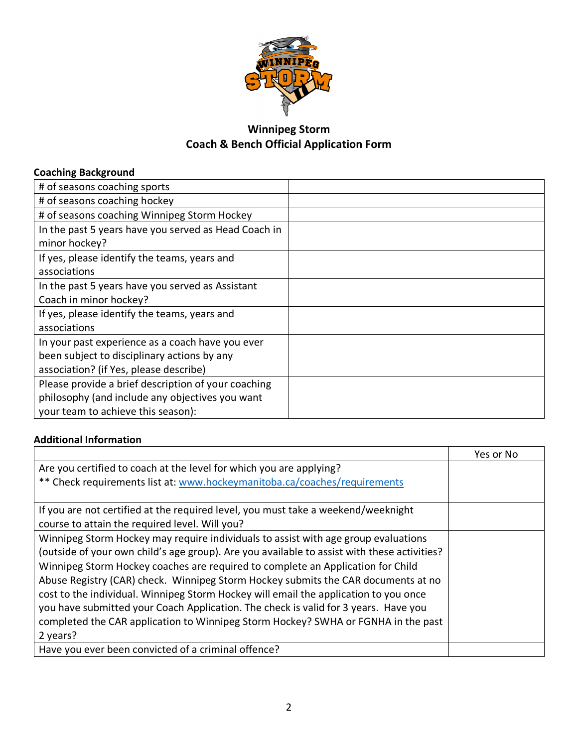

# **Winnipeg Storm Coach & Bench Official Application Form**

## **Coaching Background**

| # of seasons coaching sports                                                                                                                 |  |
|----------------------------------------------------------------------------------------------------------------------------------------------|--|
| # of seasons coaching hockey                                                                                                                 |  |
| # of seasons coaching Winnipeg Storm Hockey                                                                                                  |  |
| In the past 5 years have you served as Head Coach in<br>minor hockey?                                                                        |  |
| If yes, please identify the teams, years and<br>associations                                                                                 |  |
| In the past 5 years have you served as Assistant<br>Coach in minor hockey?                                                                   |  |
| If yes, please identify the teams, years and<br>associations                                                                                 |  |
| In your past experience as a coach have you ever<br>been subject to disciplinary actions by any<br>association? (if Yes, please describe)    |  |
| Please provide a brief description of your coaching<br>philosophy (and include any objectives you want<br>your team to achieve this season): |  |

### **Additional Information**

|                                                                                             | Yes or No |
|---------------------------------------------------------------------------------------------|-----------|
| Are you certified to coach at the level for which you are applying?                         |           |
| ** Check requirements list at: www.hockeymanitoba.ca/coaches/requirements                   |           |
|                                                                                             |           |
| If you are not certified at the required level, you must take a weekend/weeknight           |           |
| course to attain the required level. Will you?                                              |           |
| Winnipeg Storm Hockey may require individuals to assist with age group evaluations          |           |
| (outside of your own child's age group). Are you available to assist with these activities? |           |
| Winnipeg Storm Hockey coaches are required to complete an Application for Child             |           |
| Abuse Registry (CAR) check. Winnipeg Storm Hockey submits the CAR documents at no           |           |
| cost to the individual. Winnipeg Storm Hockey will email the application to you once        |           |
| you have submitted your Coach Application. The check is valid for 3 years. Have you         |           |
| completed the CAR application to Winnipeg Storm Hockey? SWHA or FGNHA in the past           |           |
| 2 years?                                                                                    |           |
| Have you ever been convicted of a criminal offence?                                         |           |